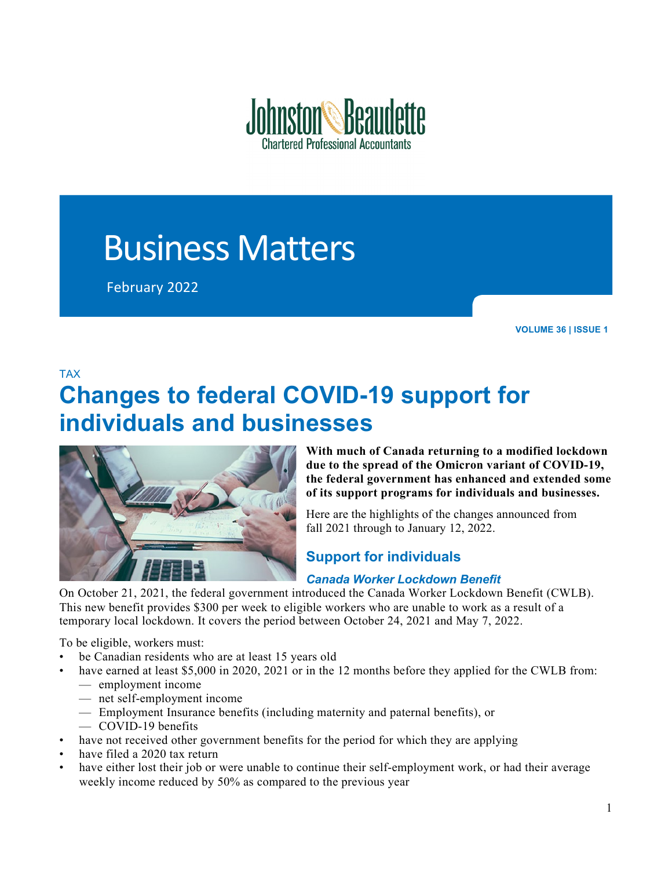

# Business Matters

February 2022

**VOLUME 36 | ISSUE 1**

### TAX

## **Changes to federal COVID-19 support for individuals and businesses**



**With much of Canada returning to a modified lockdown due to the spread of the Omicron variant of COVID-19, the federal government has enhanced and extended some of its support programs for individuals and businesses.**

Here are the highlights of the changes announced from fall 2021 through to January 12, 2022.

## **Support for individuals**

### *Canada Worker Lockdown Benefit*

On October 21, 2021, the federal government introduced the Canada Worker Lockdown Benefit (CWLB). This new benefit provides \$300 per week to eligible workers who are unable to work as a result of a temporary local lockdown. It covers the period between October 24, 2021 and May 7, 2022.

To be eligible, workers must:

- be Canadian residents who are at least 15 years old
- have earned at least \$5,000 in 2020, 2021 or in the 12 months before they applied for the CWLB from: — employment income
	- net self-employment income
	- Employment Insurance benefits (including maternity and paternal benefits), or
	- COVID-19 benefits
- have not received other government benefits for the period for which they are applying
- have filed a 2020 tax return
- have either lost their job or were unable to continue their self-employment work, or had their average weekly income reduced by 50% as compared to the previous year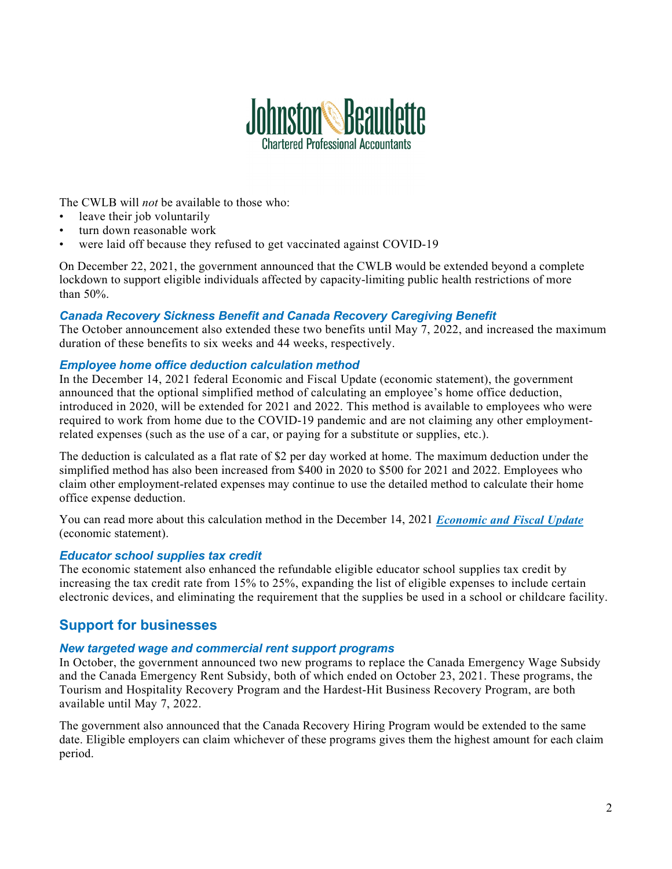

The CWLB will *not* be available to those who:

- leave their job voluntarily
- turn down reasonable work
- were laid off because they refused to get vaccinated against COVID-19

On December 22, 2021, the government announced that the CWLB would be extended beyond a complete lockdown to support eligible individuals affected by capacity-limiting public health restrictions of more than 50%.

#### *Canada Recovery Sickness Benefit and Canada Recovery Caregiving Benefit*

The October announcement also extended these two benefits until May 7, 2022, and increased the maximum duration of these benefits to six weeks and 44 weeks, respectively.

#### *Employee home office deduction calculation method*

In the December 14, 2021 federal Economic and Fiscal Update (economic statement), the government announced that the optional simplified method of calculating an employee's home office deduction, introduced in 2020, will be extended for 2021 and 2022. This method is available to employees who were required to work from home due to the COVID-19 pandemic and are not claiming any other employmentrelated expenses (such as the use of a car, or paying for a substitute or supplies, etc.).

The deduction is calculated as a flat rate of \$2 per day worked at home. The maximum deduction under the simplified method has also been increased from \$400 in 2020 to \$500 for 2021 and 2022. Employees who claim other employment-related expenses may continue to use the detailed method to calculate their home office expense deduction.

You can read more about this calculation method in the December 14, 2021 *[Economic and Fiscal Update](https://budget.gc.ca/efu-meb/2021/home-accueil-en.html)* (economic statement).

#### *Educator school supplies tax credit*

The economic statement also enhanced the refundable eligible educator school supplies tax credit by increasing the tax credit rate from 15% to 25%, expanding the list of eligible expenses to include certain electronic devices, and eliminating the requirement that the supplies be used in a school or childcare facility.

## **Support for businesses**

#### *New targeted wage and commercial rent support programs*

In October, the government announced two new programs to replace the Canada Emergency Wage Subsidy and the Canada Emergency Rent Subsidy, both of which ended on October 23, 2021. These programs, the Tourism and Hospitality Recovery Program and the Hardest-Hit Business Recovery Program, are both available until May 7, 2022.

The government also announced that the Canada Recovery Hiring Program would be extended to the same date. Eligible employers can claim whichever of these programs gives them the highest amount for each claim period.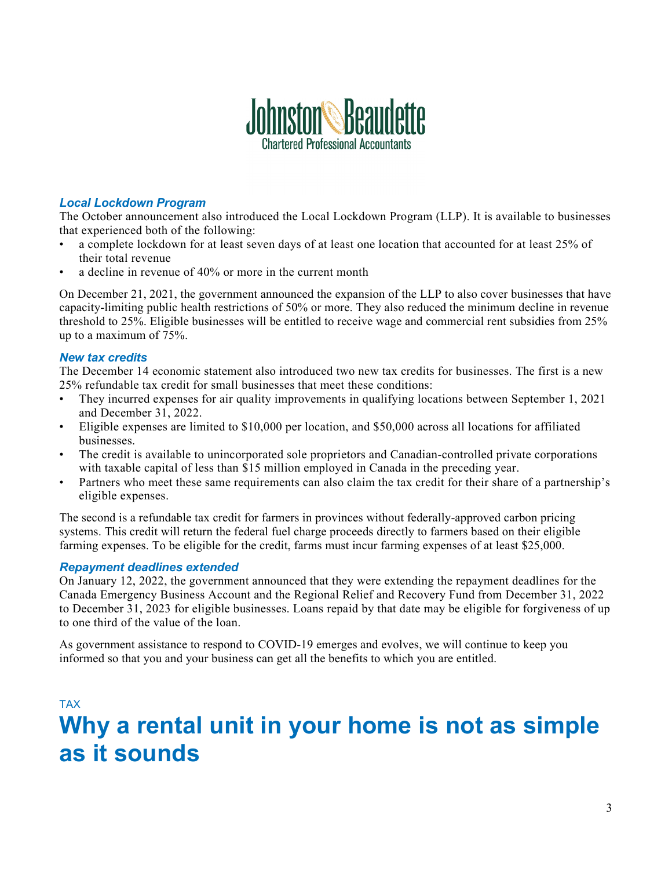

#### *Local Lockdown Program*

The October announcement also introduced the Local Lockdown Program (LLP). It is available to businesses that experienced both of the following:

- a complete lockdown for at least seven days of at least one location that accounted for at least 25% of their total revenue
- a decline in revenue of 40% or more in the current month

On December 21, 2021, the government announced the expansion of the LLP to also cover businesses that have capacity-limiting public health restrictions of 50% or more. They also reduced the minimum decline in revenue threshold to 25%. Eligible businesses will be entitled to receive wage and commercial rent subsidies from 25% up to a maximum of 75%.

#### *New tax credits*

The December 14 economic statement also introduced two new tax credits for businesses. The first is a new 25% refundable tax credit for small businesses that meet these conditions:

- They incurred expenses for air quality improvements in qualifying locations between September 1, 2021 and December 31, 2022.
- Eligible expenses are limited to \$10,000 per location, and \$50,000 across all locations for affiliated businesses.
- The credit is available to unincorporated sole proprietors and Canadian-controlled private corporations with taxable capital of less than \$15 million employed in Canada in the preceding year.
- Partners who meet these same requirements can also claim the tax credit for their share of a partnership's eligible expenses.

The second is a refundable tax credit for farmers in provinces without federally-approved carbon pricing systems. This credit will return the federal fuel charge proceeds directly to farmers based on their eligible farming expenses. To be eligible for the credit, farms must incur farming expenses of at least \$25,000.

#### *Repayment deadlines extended*

On January 12, 2022, the government announced that they were extending the repayment deadlines for the Canada Emergency Business Account and the Regional Relief and Recovery Fund from December 31, 2022 to December 31, 2023 for eligible businesses. Loans repaid by that date may be eligible for forgiveness of up to one third of the value of the loan.

As government assistance to respond to COVID-19 emerges and evolves, we will continue to keep you informed so that you and your business can get all the benefits to which you are entitled.

## TAX **Why a rental unit in your home is not as simple as it sounds**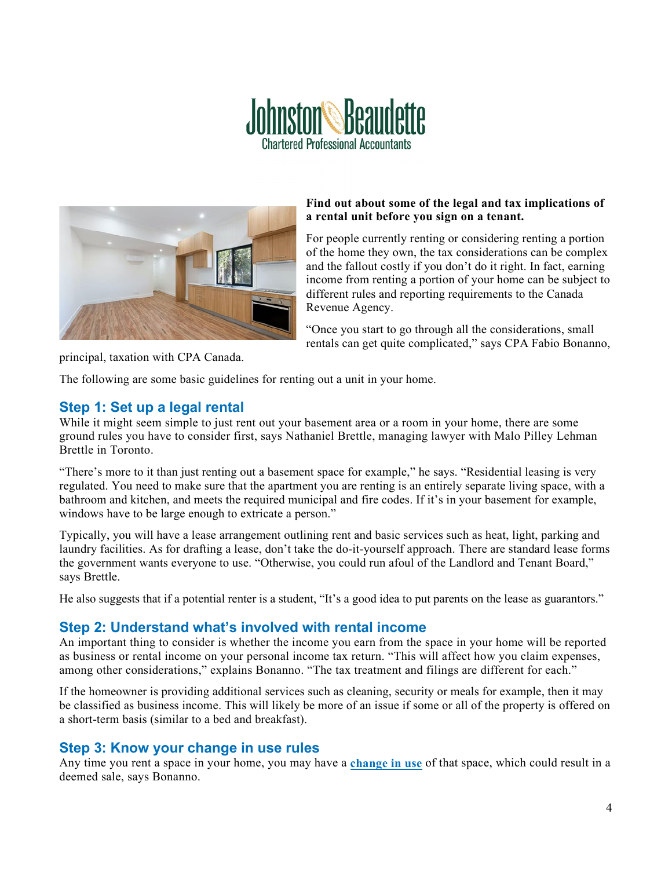



#### **Find out about some of the legal and tax implications of a rental unit before you sign on a tenant.**

For people currently renting or considering renting a portion of the home they own, the tax considerations can be complex and the fallout costly if you don't do it right. In fact, earning income from renting a portion of your home can be subject to different rules and reporting requirements to the Canada Revenue Agency.

"Once you start to go through all the considerations, small rentals can get quite complicated," says CPA Fabio Bonanno,

principal, taxation with CPA Canada.

The following are some basic guidelines for renting out a unit in your home.

## **Step 1: Set up a legal rental**

While it might seem simple to just rent out your basement area or a room in your home, there are some ground rules you have to consider first, says Nathaniel Brettle, managing lawyer with Malo Pilley Lehman Brettle in Toronto.

"There's more to it than just renting out a basement space for example," he says. "Residential leasing is very regulated. You need to make sure that the apartment you are renting is an entirely separate living space, with a bathroom and kitchen, and meets the required municipal and fire codes. If it's in your basement for example, windows have to be large enough to extricate a person."

Typically, you will have a lease arrangement outlining rent and basic services such as heat, light, parking and laundry facilities. As for drafting a lease, don't take the do-it-yourself approach. There are standard lease forms the government wants everyone to use. "Otherwise, you could run afoul of the Landlord and Tenant Board," says Brettle.

He also suggests that if a potential renter is a student, "It's a good idea to put parents on the lease as guarantors."

## **Step 2: Understand what's involved with rental income**

An important thing to consider is whether the income you earn from the space in your home will be reported as business or rental income on your personal income tax return. "This will affect how you claim expenses, among other considerations," explains Bonanno. "The tax treatment and filings are different for each."

If the homeowner is providing additional services such as cleaning, security or meals for example, then it may be classified as business income. This will likely be more of an issue if some or all of the property is offered on a short-term basis (similar to a bed and breakfast).

## **Step 3: Know your change in use rules**

Any time you rent a space in your home, you may have a **[change in use](https://www.canada.ca/en/revenue-agency/services/tax/technical-information/income-tax/income-tax-folios-index/series-1-individuals/folio-3-family-unit-issues/income-tax-folio-s1-f3-c2-principal-residence.html#toc20)** of that space, which could result in a deemed sale, says Bonanno.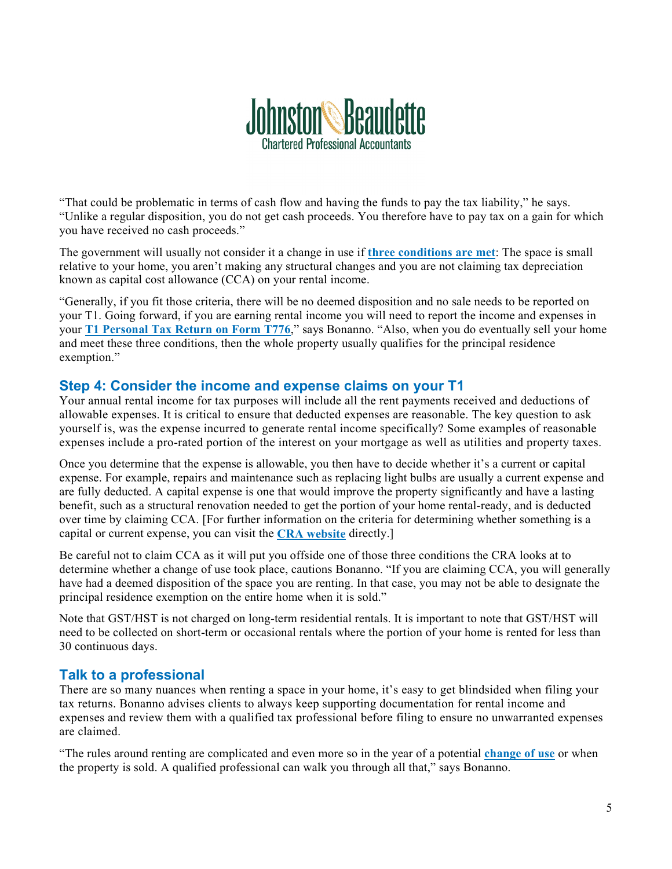

"That could be problematic in terms of cash flow and having the funds to pay the tax liability," he says. "Unlike a regular disposition, you do not get cash proceeds. You therefore have to pay tax on a gain for which you have received no cash proceeds."

The government will usually not consider it a change in use if **[three conditions are met](https://www.canada.ca/en/revenue-agency/services/tax/individuals/topics/about-your-tax-return/tax-return/completing-a-tax-return/personal-income/line-12700-capital-gains/principal-residence-other-real-estate/changes-use/changing-part-your-principal-residence-a-rental-business-property.html)**: The space is small relative to your home, you aren't making any structural changes and you are not claiming tax depreciation known as capital cost allowance (CCA) on your rental income.

"Generally, if you fit those criteria, there will be no deemed disposition and no sale needs to be reported on your T1. Going forward, if you are earning rental income you will need to report the income and expenses in your **[T1 Personal Tax Return on Form T776](https://www.canada.ca/en/revenue-agency/services/forms-publications/forms/t776.html)**," says Bonanno. "Also, when you do eventually sell your home and meet these three conditions, then the whole property usually qualifies for the principal residence exemption."

## **Step 4: Consider the income and expense claims on your T1**

Your annual rental income for tax purposes will include all the rent payments received and deductions of allowable expenses. It is critical to ensure that deducted expenses are reasonable. The key question to ask yourself is, was the expense incurred to generate rental income specifically? Some examples of reasonable expenses include a pro-rated portion of the interest on your mortgage as well as utilities and property taxes.

Once you determine that the expense is allowable, you then have to decide whether it's a current or capital expense. For example, repairs and maintenance such as replacing light bulbs are usually a current expense and are fully deducted. A capital expense is one that would improve the property significantly and have a lasting benefit, such as a structural renovation needed to get the portion of your home rental-ready, and is deducted over time by claiming CCA. [For further information on the criteria for determining whether something is a capital or current expense, you can visit the **[CRA website](https://www.canada.ca/en/revenue-agency/services/tax/businesses/topics/rental-income/current-expenses-capital-expenses.html)** directly.]

Be careful not to claim CCA as it will put you offside one of those three conditions the CRA looks at to determine whether a change of use took place, cautions Bonanno. "If you are claiming CCA, you will generally have had a deemed disposition of the space you are renting. In that case, you may not be able to designate the principal residence exemption on the entire home when it is sold."

Note that GST/HST is not charged on long-term residential rentals. It is important to note that GST/HST will need to be collected on short-term or occasional rentals where the portion of your home is rented for less than 30 continuous days.

## **Talk to a professional**

There are so many nuances when renting a space in your home, it's easy to get blindsided when filing your tax returns. Bonanno advises clients to always keep supporting documentation for rental income and expenses and review them with a qualified tax professional before filing to ensure no unwarranted expenses are claimed.

"The rules around renting are complicated and even more so in the year of a potential **[change of use](https://www.canada.ca/en/revenue-agency/services/tax/individuals/topics/about-your-tax-return/tax-return/completing-a-tax-return/personal-income/line-12700-capital-gains/principal-residence-other-real-estate/changes-use.html)** or when the property is sold. A qualified professional can walk you through all that," says Bonanno.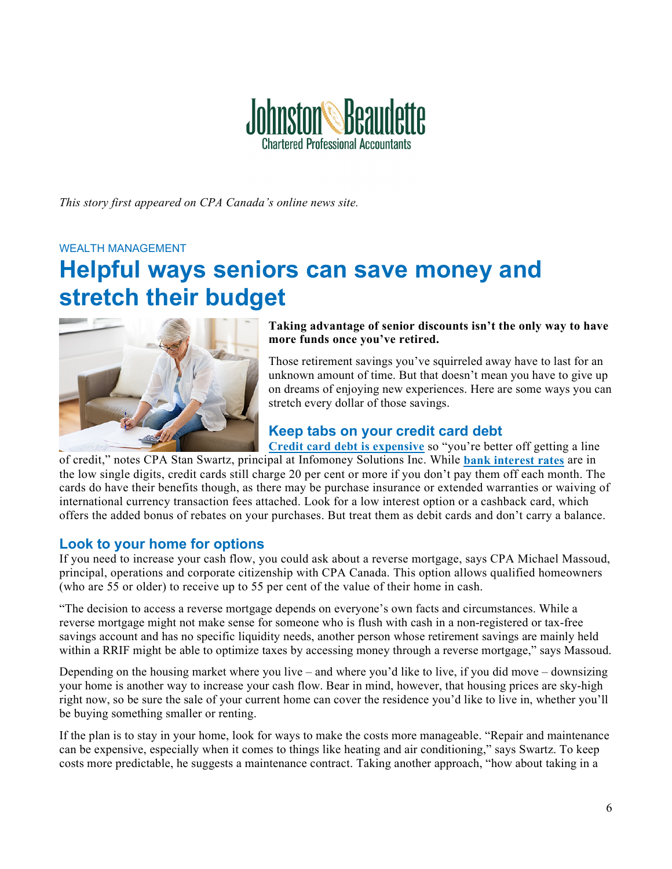

*This story first appeared on CPA Canada's online news site.*

#### WEALTH MANAGEMENT

## **Helpful ways seniors can save money and stretch their budget**



**Taking advantage of senior discounts isn't the only way to have more funds once you've retired.**

Those retirement savings you've squirreled away have to last for an unknown amount of time. But that doesn't mean you have to give up on dreams of enjoying new experiences. Here are some ways you can stretch every dollar of those savings.

## **Keep tabs on your credit card debt**

**[Credit card debt is expensive](https://financialpost.com/personal-finance/debt/high-credit-card-rates-costing-canadians-a-fortune)** so "you're better off getting a line

of credit," notes CPA Stan Swartz, principal at Infomoney Solutions Inc. While **[bank interest rates](https://www.bankofcanada.ca/rates/banking-and-financial-statistics/posted-interest-rates-offered-by-chartered-banks/)** are in the low single digits, credit cards still charge 20 per cent or more if you don't pay them off each month. The cards do have their benefits though, as there may be purchase insurance or extended warranties or waiving of international currency transaction fees attached. Look for a low interest option or a cashback card, which offers the added bonus of rebates on your purchases. But treat them as debit cards and don't carry a balance.

### **Look to your home for options**

If you need to increase your cash flow, you could ask about a reverse mortgage, says CPA Michael Massoud, principal, operations and corporate citizenship with CPA Canada. This option allows qualified homeowners (who are 55 or older) to receive up to 55 per cent of the value of their home in cash.

"The decision to access a reverse mortgage depends on everyone's own facts and circumstances. While a reverse mortgage might not make sense for someone who is flush with cash in a non-registered or tax-free savings account and has no specific liquidity needs, another person whose retirement savings are mainly held within a RRIF might be able to optimize taxes by accessing money through a reverse mortgage," says Massoud.

Depending on the housing market where you live – and where you'd like to live, if you did move – downsizing your home is another way to increase your cash flow. Bear in mind, however, that housing prices are sky-high right now, so be sure the sale of your current home can cover the residence you'd like to live in, whether you'll be buying something smaller or renting.

If the plan is to stay in your home, look for ways to make the costs more manageable. "Repair and maintenance can be expensive, especially when it comes to things like heating and air conditioning," says Swartz. To keep costs more predictable, he suggests a maintenance contract. Taking another approach, "how about taking in a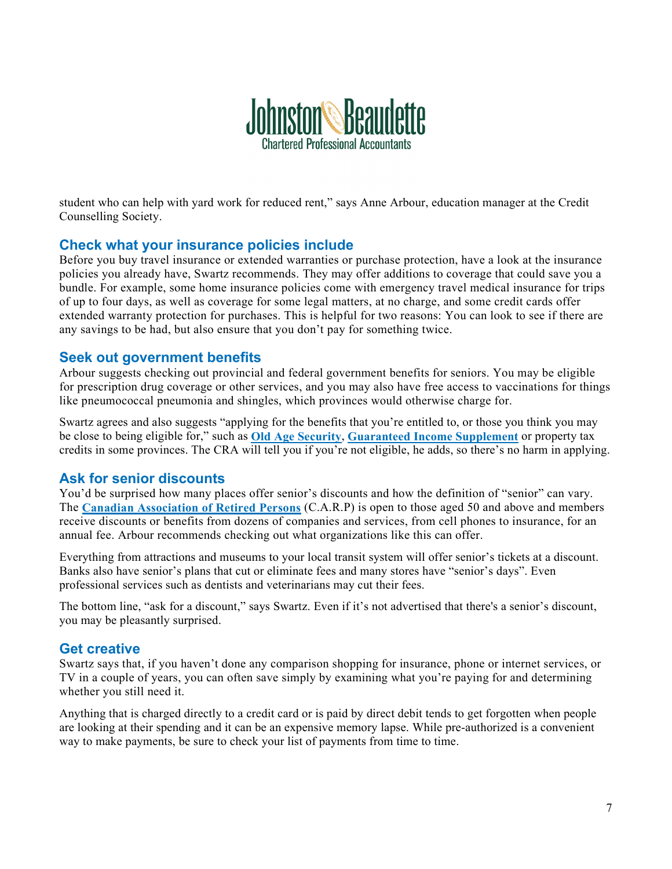

student who can help with yard work for reduced rent," says Anne Arbour, education manager at the Credit Counselling Society.

### **Check what your insurance policies include**

Before you buy travel insurance or extended warranties or purchase protection, have a look at the insurance policies you already have, Swartz recommends. They may offer additions to coverage that could save you a bundle. For example, some home insurance policies come with emergency travel medical insurance for trips of up to four days, as well as coverage for some legal matters, at no charge, and some credit cards offer extended warranty protection for purchases. This is helpful for two reasons: You can look to see if there are any savings to be had, but also ensure that you don't pay for something twice.

## **Seek out government benefits**

Arbour suggests checking out provincial and federal government benefits for seniors. You may be eligible for prescription drug coverage or other services, and you may also have free access to vaccinations for things like pneumococcal pneumonia and shingles, which provinces would otherwise charge for.

Swartz agrees and also suggests "applying for the benefits that you're entitled to, or those you think you may be close to being eligible for," such as **[Old Age Security](https://www.canada.ca/en/services/benefits/publicpensions/cpp/old-age-security.html)**, **[Guaranteed Income Supplement](https://www.canada.ca/en/services/benefits/publicpensions/cpp/old-age-security/guaranteed-income-supplement/benefit-amount.html)** or property tax credits in some provinces. The CRA will tell you if you're not eligible, he adds, so there's no harm in applying.

## **Ask for senior discounts**

You'd be surprised how many places offer senior's discounts and how the definition of "senior" can vary. The **[Canadian Association of Retired Persons](https://www.carp.ca/)** (C.A.R.P) is open to those aged 50 and above and members receive discounts or benefits from dozens of companies and services, from cell phones to insurance, for an annual fee. Arbour recommends checking out what organizations like this can offer.

Everything from attractions and museums to your local transit system will offer senior's tickets at a discount. Banks also have senior's plans that cut or eliminate fees and many stores have "senior's days". Even professional services such as dentists and veterinarians may cut their fees.

The bottom line, "ask for a discount," says Swartz. Even if it's not advertised that there's a senior's discount, you may be pleasantly surprised.

### **Get creative**

Swartz says that, if you haven't done any comparison shopping for insurance, phone or internet services, or TV in a couple of years, you can often save simply by examining what you're paying for and determining whether you still need it.

Anything that is charged directly to a credit card or is paid by direct debit tends to get forgotten when people are looking at their spending and it can be an expensive memory lapse. While pre-authorized is a convenient way to make payments, be sure to check your list of payments from time to time.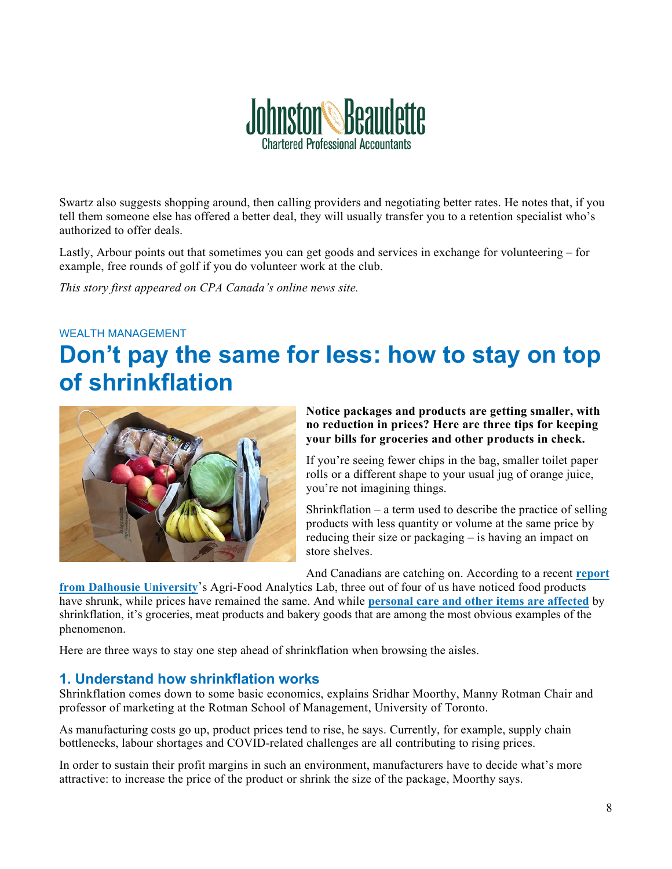

Swartz also suggests shopping around, then calling providers and negotiating better rates. He notes that, if you tell them someone else has offered a better deal, they will usually transfer you to a retention specialist who's authorized to offer deals.

Lastly, Arbour points out that sometimes you can get goods and services in exchange for volunteering – for example, free rounds of golf if you do volunteer work at the club.

*This story first appeared on CPA Canada's online news site.*

#### WEALTH MANAGEMENT

## **Don't pay the same for less: how to stay on top of shrinkflation**



#### **Notice packages and products are getting smaller, with no reduction in prices? Here are three tips for keeping your bills for groceries and other products in check.**

If you're seeing fewer chips in the bag, smaller toilet paper rolls or a different shape to your usual jug of orange juice, you're not imagining things.

Shrinkflation – a term used to describe the practice of selling products with less quantity or volume at the same price by reducing their size or packaging – is having an impact on store shelves.

And Canadians are catching on. According to a recent **[report](https://cdn.dal.ca/content/dam/dalhousie/pdf/sites/agri-food/Dal%20Report%20Inflation%20(September%202021)%20EN.pdf)** 

**[from Dalhousie University](https://cdn.dal.ca/content/dam/dalhousie/pdf/sites/agri-food/Dal%20Report%20Inflation%20(September%202021)%20EN.pdf)**'s Agri-Food Analytics Lab, three out of four of us have noticed food products have shrunk, while prices have remained the same. And while **[personal care and other items are affected](https://www.reddit.com/r/shrinkflation/)** by shrinkflation, it's groceries, meat products and bakery goods that are among the most obvious examples of the phenomenon.

Here are three ways to stay one step ahead of shrinkflation when browsing the aisles.

### **1. Understand how shrinkflation works**

Shrinkflation comes down to some basic economics, explains Sridhar Moorthy, Manny Rotman Chair and professor of marketing at the Rotman School of Management, University of Toronto.

As manufacturing costs go up, product prices tend to rise, he says. Currently, for example, supply chain bottlenecks, labour shortages and COVID-related challenges are all contributing to rising prices.

In order to sustain their profit margins in such an environment, manufacturers have to decide what's more attractive: to increase the price of the product or shrink the size of the package, Moorthy says.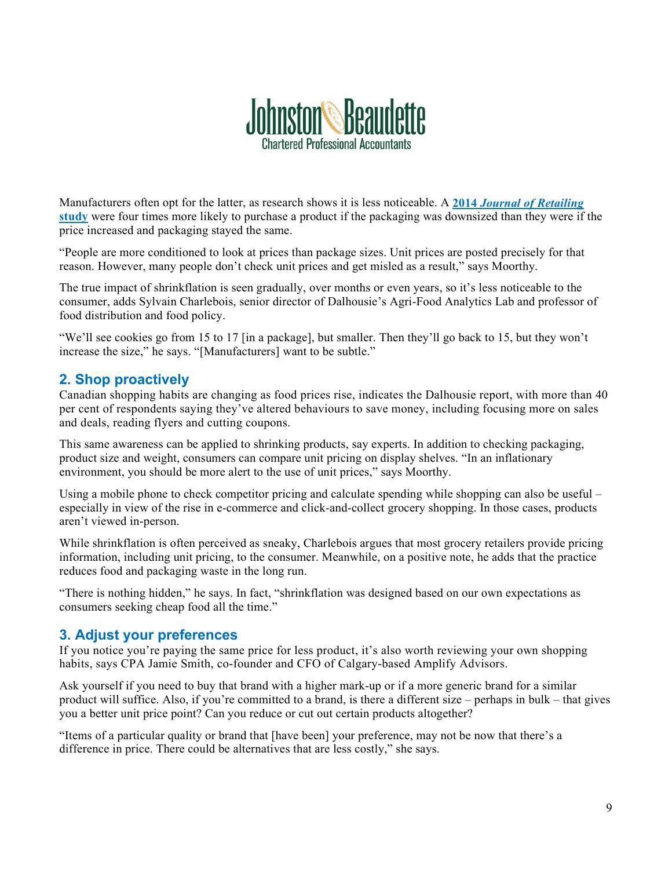

Manufacturers often opt for the latter, as research shows it is less noticeable. A **2014** *[Journal of Retailing](https://www.sciencedirect.com/science/article/abs/pii/S0022435913000456)* **[study](https://www.sciencedirect.com/science/article/abs/pii/S0022435913000456)** were four times more likely to purchase a product if the packaging was downsized than they were if the price increased and packaging stayed the same.

"People are more conditioned to look at prices than package sizes. Unit prices are posted precisely for that reason. However, many people don't check unit prices and get misled as a result," says Moorthy.

The true impact of shrinkflation is seen gradually, over months or even years, so it's less noticeable to the consumer, adds Sylvain Charlebois, senior director of Dalhousie's Agri-Food Analytics Lab and professor of food distribution and food policy.

"We'll see cookies go from 15 to 17 [in a package], but smaller. Then they'll go back to 15, but they won't increase the size," he says. "[Manufacturers] want to be subtle."

### **2. Shop proactively**

Canadian shopping habits are changing as food prices rise, indicates the Dalhousie report, with more than 40 per cent of respondents saying they've altered behaviours to save money, including focusing more on sales and deals, reading flyers and cutting coupons.

This same awareness can be applied to shrinking products, say experts. In addition to checking packaging, product size and weight, consumers can compare unit pricing on display shelves. "In an inflationary environment, you should be more alert to the use of unit prices," says Moorthy.

Using a mobile phone to check competitor pricing and calculate spending while shopping can also be useful – especially in view of the rise in e-commerce and click-and-collect grocery shopping. In those cases, products aren't viewed in-person.

While shrinkflation is often perceived as sneaky, Charlebois argues that most grocery retailers provide pricing information, including unit pricing, to the consumer. Meanwhile, on a positive note, he adds that the practice reduces food and packaging waste in the long run.

"There is nothing hidden," he says. In fact, "shrinkflation was designed based on our own expectations as consumers seeking cheap food all the time."

### **3. Adjust your preferences**

If you notice you're paying the same price for less product, it's also worth reviewing your own shopping habits, says CPA Jamie Smith, co-founder and CFO of Calgary-based Amplify Advisors.

Ask yourself if you need to buy that brand with a higher mark-up or if a more generic brand for a similar product will suffice. Also, if you're committed to a brand, is there a different size – perhaps in bulk – that gives you a better unit price point? Can you reduce or cut out certain products altogether?

"Items of a particular quality or brand that [have been] your preference, may not be now that there's a difference in price. There could be alternatives that are less costly," she says.